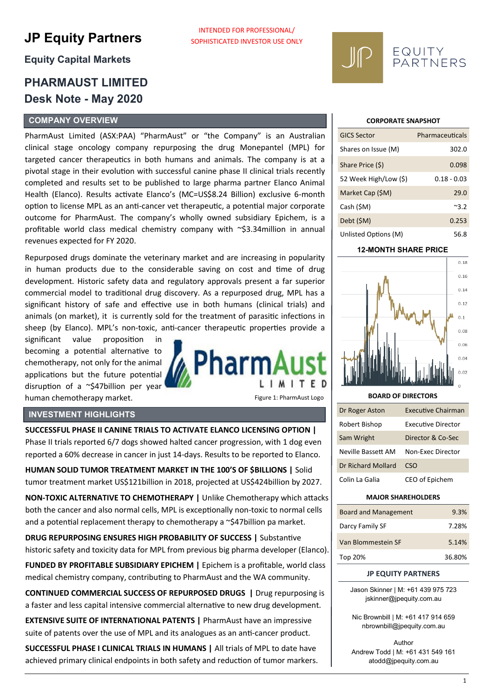# **JP Equity Partners**

## **Equity Capital Markets**

# **PHARMAUST LIMITED Desk Note - May 2020**

#### **COMPANY OVERVIEW**

PharmAust Limited (ASX:PAA) "PharmAust" or "the Company" is an Australian clinical stage oncology company repurposing the drug Monepantel (MPL) for targeted cancer therapeutics in both humans and animals. The company is at a pivotal stage in their evolution with successful canine phase II clinical trials recently completed and results set to be published to large pharma partner Elanco Animal Health (Elanco). Results activate Elanco's (MC=US\$8.24 Billion) exclusive 6-month option to license MPL as an anti-cancer vet therapeutic, a potential major corporate outcome for PharmAust. The company's wholly owned subsidiary Epichem, is a profitable world class medical chemistry company with ~\$3.34million in annual revenues expected for FY 2020.

Repurposed drugs dominate the veterinary market and are increasing in popularity in human products due to the considerable saving on cost and time of drug development. Historic safety data and regulatory approvals present a far superior commercial model to traditional drug discovery. As a repurposed drug, MPL has a significant history of safe and effective use in both humans (clinical trials) and animals (on market), it is currently sold for the treatment of parasitic infections in sheep (by Elanco). MPL's non-toxic, anti-cancer therapeutic properties provide a

significant value proposition in becoming a potential alternative to chemotherapy, not only for the animal applications but the future potential disruption of a ~\$47billion per year human chemotherapy market.

# 'harm LIMITE

INTENDED FOR PROFESSIONAL/ SOPHISTICATED INVESTOR USE ONLY

Figure 1: PharmAust Logo

#### **INVESTMENT HIGHLIGHTS**

**SUCCESSFUL PHASE II CANINE TRIALS TO ACTIVATE ELANCO LICENSING OPTION |**  Phase II trials reported 6/7 dogs showed halted cancer progression, with 1 dog even reported a 60% decrease in cancer in just 14-days. Results to be reported to Elanco.

**HUMAN SOLID TUMOR TREATMENT MARKET IN THE 100'S OF \$BILLIONS |** Solid tumor treatment market US\$121billion in 2018, projected at US\$424billion by 2027.

**NON-TOXIC ALTERNATIVE TO CHEMOTHERAPY |** Unlike Chemotherapy which attacks both the cancer and also normal cells, MPL is exceptionally non-toxic to normal cells and a potential replacement therapy to chemotherapy a  $\sim$ \$47billion pa market.

**DRUG REPURPOSING ENSURES HIGH PROBABILITY OF SUCCESS |** Substantive historic safety and toxicity data for MPL from previous big pharma developer (Elanco).

**FUNDED BY PROFITABLE SUBSIDIARY EPICHEM |** Epichem is a profitable, world class medical chemistry company, contributing to PharmAust and the WA community.

**CONTINUED COMMERCIAL SUCCESS OF REPURPOSED DRUGS |** Drug repurposing is a faster and less capital intensive commercial alternative to new drug development.

**EXTENSIVE SUITE OF INTERNATIONAL PATENTS | PharmAust have an impressive** suite of patents over the use of MPL and its analogues as an anti-cancer product.

**SUCCESSFUL PHASE I CLINICAL TRIALS IN HUMANS |** All trials of MPL to date have achieved primary clinical endpoints in both safety and reduction of tumor markers.

#### **CORPORATE SNAPSHOT**

EQUITY<br>PARTNERS

| <b>GICS Sector</b>    | Pharmaceuticals |
|-----------------------|-----------------|
| Shares on Issue (M)   | 302.0           |
| Share Price (\$)      | 0.098           |
| 52 Week High/Low (\$) | $0.18 - 0.03$   |
| Market Cap (\$M)      | 29.0            |
| Cash (\$M)            | ~3.2            |
| Debt (\$M)            | 0.253           |
| Unlisted Options (M)  | 56.8            |

#### **12-MONTH SHARE PRICE**



#### **BOARD OF DIRECTORS**

| Dr Roger Aston     | <b>Executive Chairman</b> |
|--------------------|---------------------------|
| Robert Bishop      | <b>Executive Director</b> |
| Sam Wright         | Director & Co-Sec         |
| Neville Bassett AM | Non-Exec Director         |
| Dr Richard Mollard | CSO                       |
| Colin La Galia     | CEO of Epichem            |

#### **MAJOR SHAREHOLDERS**

| <b>Board and Management</b> | 9.3%   |
|-----------------------------|--------|
| Darcy Family SF             | 7.28%  |
| Van Blommestein SF          | 5.14%  |
| Top 20%                     | 36.80% |

#### **JP EQUITY PARTNERS**

Jason Skinner | M: +61 439 975 723 jskinner@jpequity.com.au

Nic Brownbill | M: +61 417 914 659 nbrownbill@jpequity.com.au

Author Andrew Todd | M: +61 431 549 161 atodd@jpequity.com.au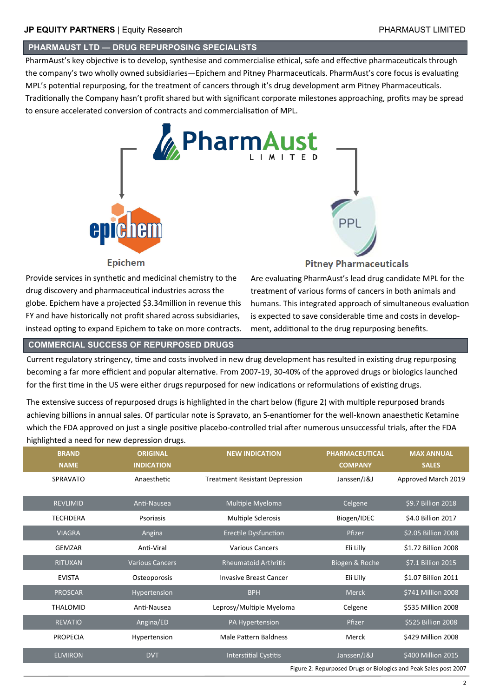#### **PHARMAUST LTD — DRUG REPURPOSING SPECIALISTS**

PharmAust's key objective is to develop, synthesise and commercialise ethical, safe and effective pharmaceuticals through the company's two wholly owned subsidiaries—Epichem and Pitney Pharmaceuticals. PharmAust's core focus is evaluating MPL's potential repurposing, for the treatment of cancers through it's drug development arm Pitney Pharmaceuticals. Traditionally the Company hasn't profit shared but with significant corporate milestones approaching, profits may be spread to ensure accelerated conversion of contracts and commercialisation of MPL.



Provide services in synthetic and medicinal chemistry to the drug discovery and pharmaceutical industries across the globe. Epichem have a projected \$3.34million in revenue this FY and have historically not profit shared across subsidiaries, instead opting to expand Epichem to take on more contracts.

## **Pitney Pharmaceuticals**

Are evaluating PharmAust's lead drug candidate MPL for the treatment of various forms of cancers in both animals and humans. This integrated approach of simultaneous evaluation is expected to save considerable time and costs in development, additional to the drug repurposing benefits.

#### **COMMERCIAL SUCCESS OF REPURPOSED DRUGS**

Current regulatory stringency, time and costs involved in new drug development has resulted in existing drug repurposing becoming a far more efficient and popular alternative. From 2007-19, 30-40% of the approved drugs or biologics launched for the first time in the US were either drugs repurposed for new indications or reformulations of existing drugs.

The extensive success of repurposed drugs is highlighted in the chart below (figure 2) with multiple repurposed brands achieving billions in annual sales. Of particular note is Spravato, an S-enantiomer for the well-known anaesthetic Ketamine which the FDA approved on just a single positive placebo-controlled trial after numerous unsuccessful trials, after the FDA highlighted a need for new depression drugs.

| <b>BRAND</b>     | <b>ORIGINAL</b>        | <b>NEW INDICATION</b>                 | <b>PHARMACEUTICAL</b> | <b>MAX ANNUAL</b>                                                |
|------------------|------------------------|---------------------------------------|-----------------------|------------------------------------------------------------------|
| <b>NAME</b>      | <b>INDICATION</b>      |                                       | <b>COMPANY</b>        | <b>SALES</b>                                                     |
| <b>SPRAVATO</b>  | Anaesthetic            | <b>Treatment Resistant Depression</b> | Janssen/J&J           | Approved March 2019                                              |
|                  |                        |                                       |                       |                                                                  |
| <b>REVLIMID</b>  | Anti-Nausea            | Multiple Myeloma                      | Celgene               | \$9.7 Billion 2018                                               |
| <b>TECFIDERA</b> | Psoriasis              | Multiple Sclerosis                    | Biogen/IDEC           | \$4.0 Billion 2017                                               |
| <b>VIAGRA</b>    | Angina                 | <b>Erectile Dysfunction</b>           | Pfizer                | \$2.05 Billion 2008                                              |
| <b>GEMZAR</b>    | Anti-Viral             | <b>Various Cancers</b>                | Eli Lilly             | \$1.72 Billion 2008                                              |
| <b>RITUXAN</b>   | <b>Various Cancers</b> | <b>Rheumatoid Arthritis</b>           | Biogen & Roche        | \$7.1 Billion 2015                                               |
| <b>EVISTA</b>    | Osteoporosis           | <b>Invasive Breast Cancer</b>         | Eli Lilly             | \$1.07 Billion 2011                                              |
| <b>PROSCAR</b>   | Hypertension           | <b>BPH</b>                            | <b>Merck</b>          | \$741 Million 2008                                               |
| <b>THALOMID</b>  | Anti-Nausea            | Leprosy/Multiple Myeloma              | Celgene               | \$535 Million 2008                                               |
| <b>REVATIO</b>   | Angina/ED              | PA Hypertension                       | Pfizer                | \$525 Billion 2008                                               |
| <b>PROPECIA</b>  | Hypertension           | Male Pattern Baldness                 | Merck                 | \$429 Million 2008                                               |
| <b>ELMIRON</b>   | <b>DVT</b>             | <b>Interstitial Cystitis</b>          | Janssen/J&J           | \$400 Million 2015                                               |
|                  |                        |                                       |                       | Figure 2: Repurposed Drugs or Biologics and Peak Sales post 2007 |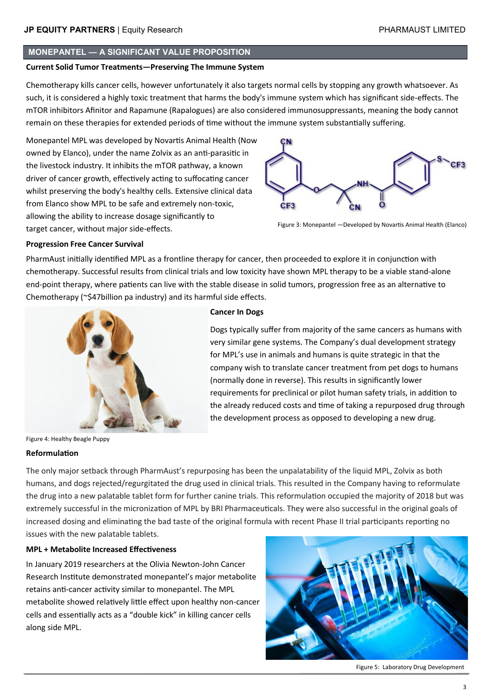#### **MONEPANTEL — A SIGNIFICANT VALUE PROPOSITION**

#### **Current Solid Tumor Treatments—Preserving The Immune System**

Chemotherapy kills cancer cells, however unfortunately it also targets normal cells by stopping any growth whatsoever. As such, it is considered a highly toxic treatment that harms the body's immune system which has significant side-effects. The mTOR inhibitors Afinitor and Rapamune (Rapalogues) are also considered immunosuppressants, meaning the body cannot remain on these therapies for extended periods of time without the immune system substantially suffering.

Monepantel MPL was developed by Novartis Animal Health (Now owned by Elanco), under the name Zolvix as an anti-parasitic in the livestock industry. It inhibits the mTOR pathway, a known driver of cancer growth, effectively acting to suffocating cancer whilst preserving the body's healthy cells. Extensive clinical data from Elanco show MPL to be safe and extremely non-toxic, allowing the ability to increase dosage significantly to target cancer, without major side-effects.



Figure 3: Monepantel —Developed by Novartis Animal Health (Elanco)

#### **Progression Free Cancer Survival**

PharmAust initially identified MPL as a frontline therapy for cancer, then proceeded to explore it in conjunction with chemotherapy. Successful results from clinical trials and low toxicity have shown MPL therapy to be a viable stand-alone end-point therapy, where patients can live with the stable disease in solid tumors, progression free as an alternative to Chemotherapy (~\$47billion pa industry) and its harmful side effects.



Figure 4: Healthy Beagle Puppy

#### **Reformulation**

#### **Cancer In Dogs**

Dogs typically suffer from majority of the same cancers as humans with very similar gene systems. The Company's dual development strategy for MPL's use in animals and humans is quite strategic in that the company wish to translate cancer treatment from pet dogs to humans (normally done in reverse). This results in significantly lower requirements for preclinical or pilot human safety trials, in addition to the already reduced costs and time of taking a repurposed drug through the development process as opposed to developing a new drug.

The only major setback through PharmAust's repurposing has been the unpalatability of the liquid MPL, Zolvix as both humans, and dogs rejected/regurgitated the drug used in clinical trials. This resulted in the Company having to reformulate the drug into a new palatable tablet form for further canine trials. This reformulation occupied the majority of 2018 but was extremely successful in the micronization of MPL by BRI Pharmaceuticals. They were also successful in the original goals of increased dosing and eliminating the bad taste of the original formula with recent Phase II trial participants reporting no issues with the new palatable tablets.

#### **MPL + Metabolite Increased Effectiveness**

In January 2019 researchers at the Olivia Newton-John Cancer Research Institute demonstrated monepantel's major metabolite retains anti-cancer activity similar to monepantel. The MPL metabolite showed relatively little effect upon healthy non-cancer cells and essentially acts as a "double kick" in killing cancer cells along side MPL.



Figure 5: Laboratory Drug Development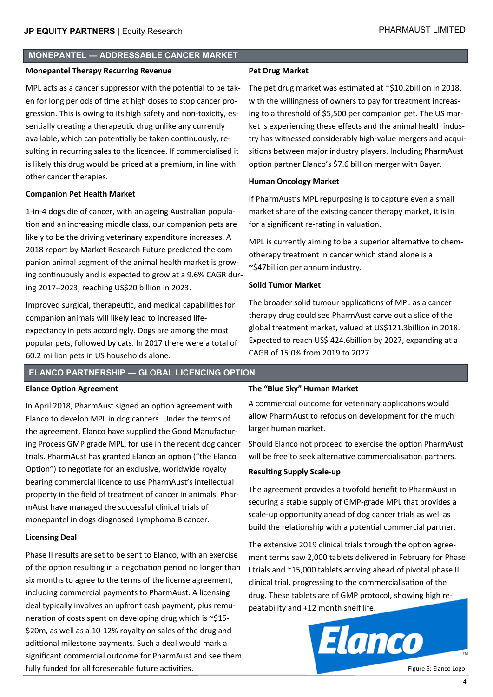#### **MONEPANTEL — ADDRESSABLE CANCER MARKET**

#### **Monepantel Therapy Recurring Revenue**

MPL acts as a cancer suppressor with the potential to be taken for long periods of time at high doses to stop cancer progression. This is owing to its high safety and non-toxicity, essentially creating a therapeutic drug unlike any currently available, which can potentially be taken continuously, resulting in recurring sales to the licencee. If commercialised it is likely this drug would be priced at a premium, in line with other cancer therapies.

#### **Companion Pet Health Market**

1-in-4 dogs die of cancer, with an ageing Australian population and an increasing middle class, our companion pets are likely to be the driving veterinary expenditure increases. A 2018 report by Market Research Future predicted the companion animal segment of the animal health market is growing continuously and is expected to grow at a 9.6% CAGR during 2017–2023, reaching US\$20 billion in 2023.

Improved surgical, therapeutic, and medical capabilities for companion animals will likely lead to increased lifeexpectancy in pets accordingly. Dogs are among the most popular pets, followed by cats. In 2017 there were a total of 60.2 million pets in US households alone.

#### **Pet Drug Market**

The pet drug market was estimated at ~\$10.2billion in 2018, with the willingness of owners to pay for treatment increasing to a threshold of \$5,500 per companion pet. The US market is experiencing these effects and the animal health industry has witnessed considerably high-value mergers and acquisitions between major industry players. Including PharmAust option partner Elanco's \$7.6 billion merger with Bayer.

#### **Human Oncology Market**

If PharmAust's MPL repurposing is to capture even a small market share of the existing cancer therapy market, it is in for a significant re-rating in valuation.

MPL is currently aiming to be a superior alternative to chemotherapy treatment in cancer which stand alone is a ~\$47billion per annum industry.

#### **Solid Tumor Market**

The broader solid tumour applications of MPL as a cancer therapy drug could see PharmAust carve out a slice of the global treatment market, valued at US\$121.3billion in 2018. Expected to reach US\$ 424.6billion by 2027, expanding at a CAGR of 15.0% from 2019 to 2027.

### **ELANCO PARTNERSHIP — GLOBAL LICENCING OPTION**

#### **Elance Option Agreement**

In April 2018, PharmAust signed an option agreement with Elanco to develop MPL in dog cancers. Under the terms of the agreement, Elanco have supplied the Good Manufacturing Process GMP grade MPL, for use in the recent dog cancer trials. PharmAust has granted Elanco an option ("the Elanco Option") to negotiate for an exclusive, worldwide royalty bearing commercial licence to use PharmAust's intellectual property in the field of treatment of cancer in animals. PharmAust have managed the successful clinical trials of monepantel in dogs diagnosed Lymphoma B cancer.

#### **Licensing Deal**

Phase II results are set to be sent to Elanco, with an exercise of the option resulting in a negotiation period no longer than six months to agree to the terms of the license agreement, including commercial payments to PharmAust. A licensing deal typically involves an upfront cash payment, plus remuneration of costs spent on developing drug which is ~\$15- \$20m, as well as a 10-12% royalty on sales of the drug and adittional milestone payments. Such a deal would mark a significant commercial outcome for PharmAust and see them fully funded for all foreseeable future activities.

#### **The "Blue Sky" Human Market**

A commercial outcome for veterinary applications would allow PharmAust to refocus on development for the much larger human market.

Should Elanco not proceed to exercise the option PharmAust will be free to seek alternative commercialisation partners.

#### **Resulting Supply Scale-up**

The agreement provides a twofold benefit to PharmAust in securing a stable supply of GMP-grade MPL that provides a scale-up opportunity ahead of dog cancer trials as well as build the relationship with a potential commercial partner.

The extensive 2019 clinical trials through the option agreement terms saw 2,000 tablets delivered in February for Phase I trials and ~15,000 tablets arriving ahead of pivotal phase II clinical trial, progressing to the commercialisation of the drug. These tablets are of GMP protocol, showing high repeatability and +12 month shelf life.



Figure 6: Elanco Logo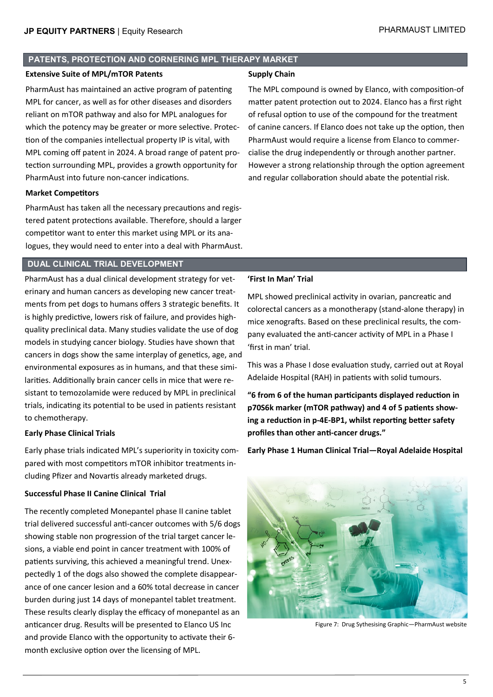#### **PATENTS, PROTECTION AND CORNERING MPL THERAPY MARKET**

#### **Extensive Suite of MPL/mTOR Patents**

PharmAust has maintained an active program of patenting MPL for cancer, as well as for other diseases and disorders reliant on mTOR pathway and also for MPL analogues for which the potency may be greater or more selective. Protection of the companies intellectual property IP is vital, with MPL coming off patent in 2024. A broad range of patent protection surrounding MPL, provides a growth opportunity for PharmAust into future non-cancer indications.

#### **Market Competitors**

PharmAust has taken all the necessary precautions and registered patent protections available. Therefore, should a larger competitor want to enter this market using MPL or its analogues, they would need to enter into a deal with PharmAust.

#### **DUAL CLINICAL TRIAL DEVELOPMENT**

PharmAust has a dual clinical development strategy for veterinary and human cancers as developing new cancer treatments from pet dogs to humans offers 3 strategic benefits. It is highly predictive, lowers risk of failure, and provides highquality preclinical data. Many studies validate the use of dog models in studying cancer biology. Studies have shown that cancers in dogs show the same interplay of genetics, age, and environmental exposures as in humans, and that these similarities. Additionally brain cancer cells in mice that were resistant to temozolamide were reduced by MPL in preclinical trials, indicating its potential to be used in patients resistant to chemotherapy.

#### **Early Phase Clinical Trials**

Early phase trials indicated MPL's superiority in toxicity compared with most competitors mTOR inhibitor treatments including Pfizer and Novartis already marketed drugs.

#### **Successful Phase II Canine Clinical Trial**

The recently completed Monepantel phase II canine tablet trial delivered successful anti-cancer outcomes with 5/6 dogs showing stable non progression of the trial target cancer lesions, a viable end point in cancer treatment with 100% of patients surviving, this achieved a meaningful trend. Unexpectedly 1 of the dogs also showed the complete disappearance of one cancer lesion and a 60% total decrease in cancer burden during just 14 days of monepantel tablet treatment. These results clearly display the efficacy of monepantel as an anticancer drug. Results will be presented to Elanco US Inc and provide Elanco with the opportunity to activate their 6 month exclusive option over the licensing of MPL.

#### **Supply Chain**

The MPL compound is owned by Elanco, with composition-of matter patent protection out to 2024. Elanco has a first right of refusal option to use of the compound for the treatment of canine cancers. If Elanco does not take up the option, then PharmAust would require a license from Elanco to commercialise the drug independently or through another partner. However a strong relationship through the option agreement and regular collaboration should abate the potential risk.

#### **'First In Man' Trial**

MPL showed preclinical activity in ovarian, pancreatic and colorectal cancers as a monotherapy (stand-alone therapy) in mice xenografts. Based on these preclinical results, the company evaluated the anti-cancer activity of MPL in a Phase I 'first in man' trial.

This was a Phase I dose evaluation study, carried out at Royal Adelaide Hospital (RAH) in patients with solid tumours.

**"6 from 6 of the human participants displayed reduction in p70S6k marker (mTOR pathway) and 4 of 5 patients showing a reduction in p-4E-BP1, whilst reporting better safety profiles than other anti-cancer drugs."**

**Early Phase 1 Human Clinical Trial—Royal Adelaide Hospital**



Figure 7: Drug Sythesising Graphic—PharmAust website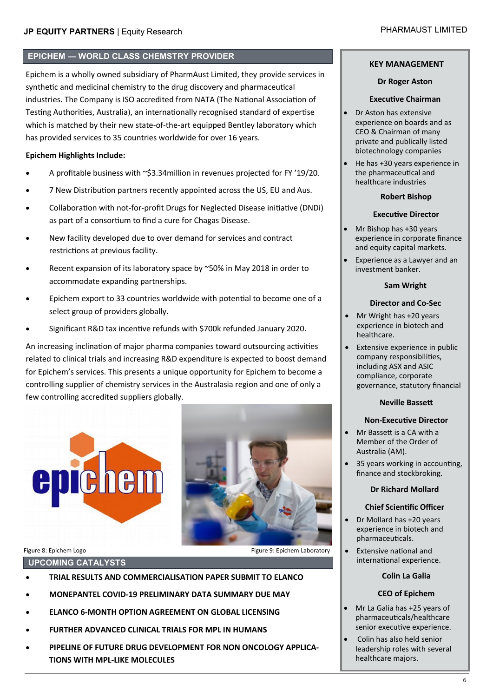#### **EPICHEM — WORLD CLASS CHEMSTRY PROVIDER**

Epichem is a wholly owned subsidiary of PharmAust Limited, they provide services in synthetic and medicinal chemistry to the drug discovery and pharmaceutical industries. The Company is ISO accredited from NATA (The National Association of Testing Authorities, Australia), an internationally recognised standard of expertise which is matched by their new state-of-the-art equipped Bentley laboratory which has provided services to 35 countries worldwide for over 16 years.

#### **Epichem Highlights Include:**

- A profitable business with ~\$3.34million in revenues projected for FY '19/20.
- 7 New Distribution partners recently appointed across the US, EU and Aus.
- Collaboration with not-for-profit Drugs for Neglected Disease initiative (DNDi) as part of a consortium to find a cure for Chagas Disease.
- New facility developed due to over demand for services and contract restrictions at previous facility.
- Recent expansion of its laboratory space by ~50% in May 2018 in order to accommodate expanding partnerships.
- Epichem export to 33 countries worldwide with potential to become one of a select group of providers globally.
- Significant R&D tax incentive refunds with \$700k refunded January 2020.

An increasing inclination of major pharma companies toward outsourcing activities related to clinical trials and increasing R&D expenditure is expected to boost demand for Epichem's services. This presents a unique opportunity for Epichem to become a controlling supplier of chemistry services in the Australasia region and one of only a few controlling accredited suppliers globally.



**UPCOMING CATALYSTS**

- **TRIAL RESULTS AND COMMERCIALISATION PAPER SUBMIT TO ELANCO**
- **MONEPANTEL COVID-19 PRELIMINARY DATA SUMMARY DUE MAY**
- **ELANCO 6-MONTH OPTION AGREEMENT ON GLOBAL LICENSING**
- **FURTHER ADVANCED CLINICAL TRIALS FOR MPL IN HUMANS**
- **PIPELINE OF FUTURE DRUG DEVELOPMENT FOR NON ONCOLOGY APPLICA-TIONS WITH MPL-LIKE MOLECULES**

#### **KEY MANAGEMENT**

#### **Dr Roger Aston**

#### **Executive Chairman**

- Dr Aston has extensive experience on boards and as CEO & Chairman of many private and publically listed biotechnology companies
- He has +30 years experience in the pharmaceutical and healthcare industries

#### **Robert Bishop**

#### **Executive Director**

- and equity capital markets. • Mr Bishop has +30 years experience in corporate finance
- Experience as a Lawyer and an investment banker.

#### **Sam Wright**

#### **Director and Co-Sec**

- Mr Wright has +20 years experience in biotech and healthcare.
- Extensive experience in public company responsibilities, including ASX and ASIC compliance, corporate governance, statutory financial

#### **Neville Bassett**

#### **Non-Executive Director**

- Mr Bassett is a CA with a Member of the Order of Australia (AM).
- 35 years working in accounting, finance and stockbroking.

#### **Dr Richard Mollard**

#### **Chief Scientific Officer**

- Dr Mollard has +20 years experience in biotech and pharmaceuticals.
- Extensive national and international experience.

#### **Colin La Galia**

#### **CEO of Epichem**

- Mr La Galia has +25 years of pharmaceuticals/healthcare senior executive experience.
- Colin has also held senior leadership roles with several healthcare majors.